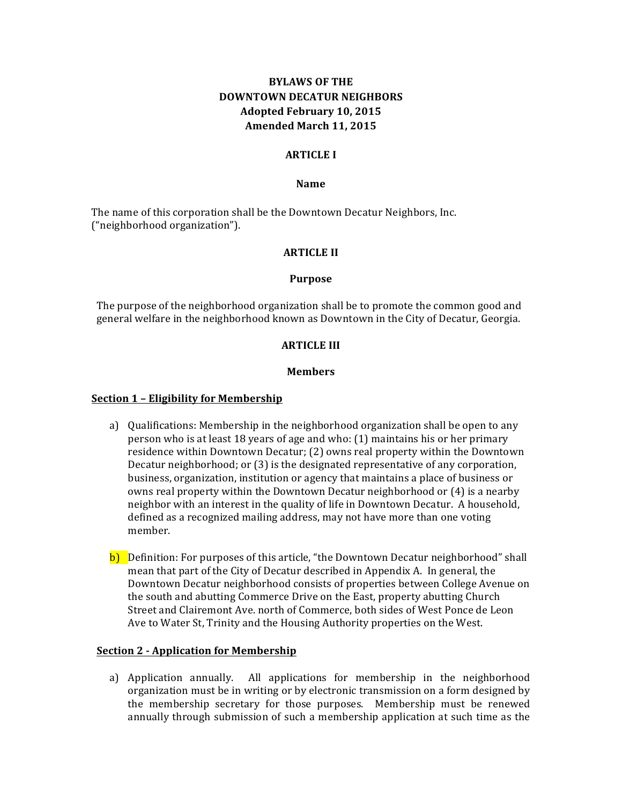# **BYLAWS OF THE DOWNTOWN DECATUR NEIGHBORS Adopted February 10, 2015** Amended March 11, 2015

### **ARTICLE I**

### **Name**

The name of this corporation shall be the Downtown Decatur Neighbors, Inc. ("neighborhood organization").

#### **ARTICLE** II

#### **Purpose**

The purpose of the neighborhood organization shall be to promote the common good and general welfare in the neighborhood known as Downtown in the City of Decatur, Georgia.

#### **ARTICLE III**

#### **Members**

## **Section 1 - Eligibility for Membership**

- a) Qualifications: Membership in the neighborhood organization shall be open to any person who is at least 18 years of age and who:  $(1)$  maintains his or her primary residence within Downtown Decatur; (2) owns real property within the Downtown Decatur neighborhood; or  $(3)$  is the designated representative of any corporation, business, organization, institution or agency that maintains a place of business or owns real property within the Downtown Decatur neighborhood or (4) is a nearby neighbor with an interest in the quality of life in Downtown Decatur. A household, defined as a recognized mailing address, may not have more than one voting member.
- b) Definition: For purposes of this article, "the Downtown Decatur neighborhood" shall mean that part of the City of Decatur described in Appendix A. In general, the Downtown Decatur neighborhood consists of properties between College Avenue on the south and abutting Commerce Drive on the East, property abutting Church Street and Clairemont Ave. north of Commerce, both sides of West Ponce de Leon Ave to Water St, Trinity and the Housing Authority properties on the West.

### **Section 2 - Application for Membership**

a) Application annually. All applications for membership in the neighborhood organization must be in writing or by electronic transmission on a form designed by the membership secretary for those purposes. Membership must be renewed annually through submission of such a membership application at such time as the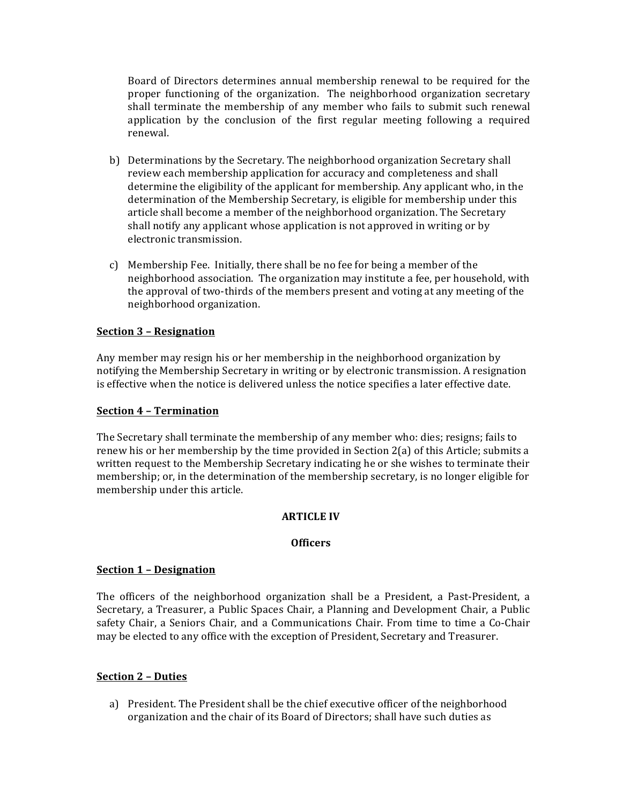Board of Directors determines annual membership renewal to be required for the proper functioning of the organization. The neighborhood organization secretary shall terminate the membership of any member who fails to submit such renewal application by the conclusion of the first regular meeting following a required renewal. 

- b) Determinations by the Secretary. The neighborhood organization Secretary shall review each membership application for accuracy and completeness and shall determine the eligibility of the applicant for membership. Any applicant who, in the determination of the Membership Secretary, is eligible for membership under this article shall become a member of the neighborhood organization. The Secretary shall notify any applicant whose application is not approved in writing or by electronic transmission.
- c) Membership Fee. Initially, there shall be no fee for being a member of the neighborhood association. The organization may institute a fee, per household, with the approval of two-thirds of the members present and voting at any meeting of the neighborhood organization.

## **Section 3 – Resignation**

Any member may resign his or her membership in the neighborhood organization by notifying the Membership Secretary in writing or by electronic transmission. A resignation is effective when the notice is delivered unless the notice specifies a later effective date.

## **Section 4 – Termination**

The Secretary shall terminate the membership of any member who: dies; resigns; fails to renew his or her membership by the time provided in Section  $2(a)$  of this Article; submits a written request to the Membership Secretary indicating he or she wishes to terminate their membership; or, in the determination of the membership secretary, is no longer eligible for membership under this article.

## **ARTICLE IV**

## **Officers**

## **Section 1 – Designation**

The officers of the neighborhood organization shall be a President, a Past-President, a Secretary, a Treasurer, a Public Spaces Chair, a Planning and Development Chair, a Public safety Chair, a Seniors Chair, and a Communications Chair. From time to time a Co-Chair may be elected to any office with the exception of President, Secretary and Treasurer.

## **Section 2 – Duties**

a) President. The President shall be the chief executive officer of the neighborhood organization and the chair of its Board of Directors; shall have such duties as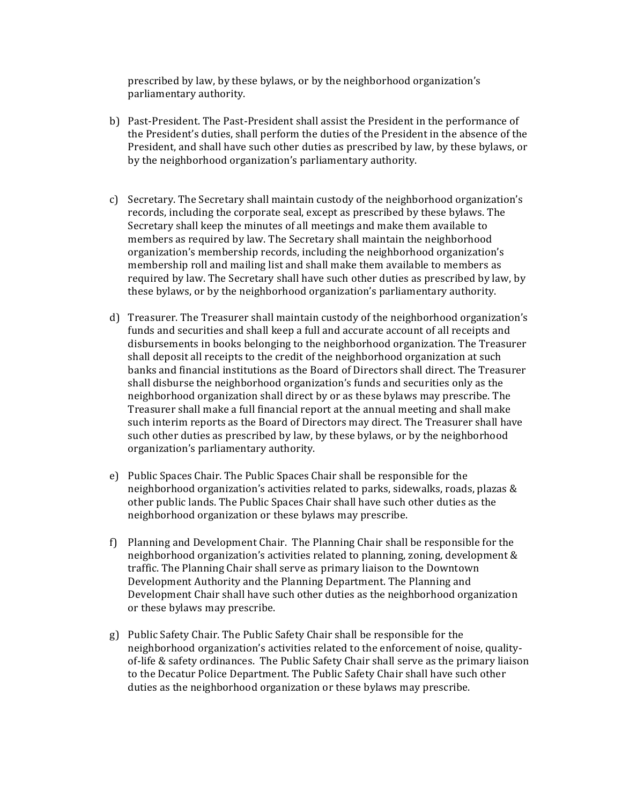prescribed by law, by these bylaws, or by the neighborhood organization's parliamentary authority.

- b) Past-President. The Past-President shall assist the President in the performance of the President's duties, shall perform the duties of the President in the absence of the President, and shall have such other duties as prescribed by law, by these bylaws, or by the neighborhood organization's parliamentary authority.
- c) Secretary. The Secretary shall maintain custody of the neighborhood organization's records, including the corporate seal, except as prescribed by these bylaws. The Secretary shall keep the minutes of all meetings and make them available to members as required by law. The Secretary shall maintain the neighborhood organization's membership records, including the neighborhood organization's membership roll and mailing list and shall make them available to members as required by law. The Secretary shall have such other duties as prescribed by law, by these bylaws, or by the neighborhood organization's parliamentary authority.
- d) Treasurer. The Treasurer shall maintain custody of the neighborhood organization's funds and securities and shall keep a full and accurate account of all receipts and disbursements in books belonging to the neighborhood organization. The Treasurer shall deposit all receipts to the credit of the neighborhood organization at such banks and financial institutions as the Board of Directors shall direct. The Treasurer shall disburse the neighborhood organization's funds and securities only as the neighborhood organization shall direct by or as these bylaws may prescribe. The Treasurer shall make a full financial report at the annual meeting and shall make such interim reports as the Board of Directors may direct. The Treasurer shall have such other duties as prescribed by law, by these bylaws, or by the neighborhood organization's parliamentary authority.
- e) Public Spaces Chair. The Public Spaces Chair shall be responsible for the neighborhood organization's activities related to parks, sidewalks, roads, plazas  $\&$ other public lands. The Public Spaces Chair shall have such other duties as the neighborhood organization or these bylaws may prescribe.
- f) Planning and Development Chair. The Planning Chair shall be responsible for the neighborhood organization's activities related to planning, zoning, development & traffic. The Planning Chair shall serve as primary liaison to the Downtown Development Authority and the Planning Department. The Planning and Development Chair shall have such other duties as the neighborhood organization or these bylaws may prescribe.
- g) Public Safety Chair. The Public Safety Chair shall be responsible for the neighborhood organization's activities related to the enforcement of noise, qualityof-life & safety ordinances. The Public Safety Chair shall serve as the primary liaison to the Decatur Police Department. The Public Safety Chair shall have such other duties as the neighborhood organization or these bylaws may prescribe.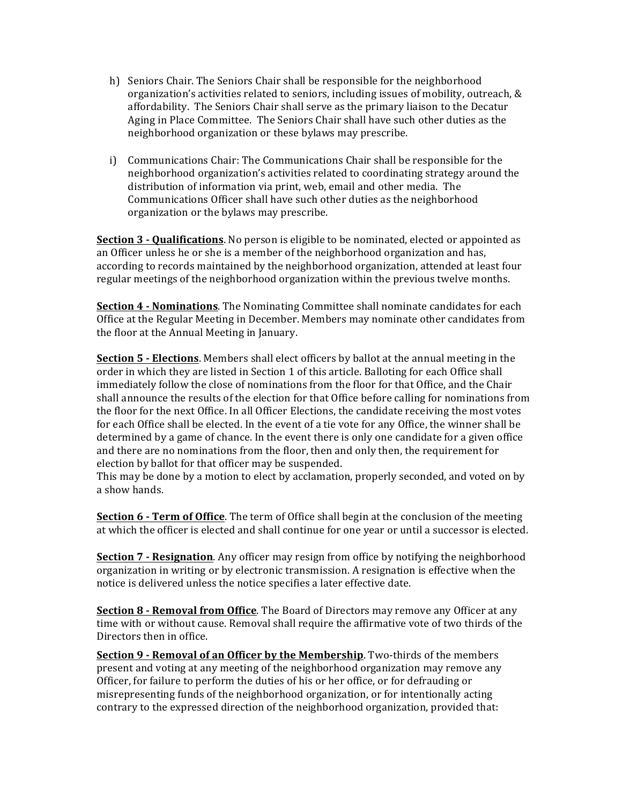- h) Seniors Chair. The Seniors Chair shall be responsible for the neighborhood organization's activities related to seniors, including issues of mobility, outreach,  $\&$ affordability. The Seniors Chair shall serve as the primary liaison to the Decatur Aging in Place Committee. The Seniors Chair shall have such other duties as the neighborhood organization or these bylaws may prescribe.
- i) Communications Chair: The Communications Chair shall be responsible for the neighborhood organization's activities related to coordinating strategy around the distribution of information via print, web, email and other media. The Communications Officer shall have such other duties as the neighborhood organization or the bylaws may prescribe.

**Section 3 - Qualifications**. No person is eligible to be nominated, elected or appointed as an Officer unless he or she is a member of the neighborhood organization and has, according to records maintained by the neighborhood organization, attended at least four regular meetings of the neighborhood organization within the previous twelve months.

**Section 4 - Nominations**. The Nominating Committee shall nominate candidates for each Office at the Regular Meeting in December. Members may nominate other candidates from the floor at the Annual Meeting in January.

**Section 5 - Elections**. Members shall elect officers by ballot at the annual meeting in the order in which they are listed in Section 1 of this article. Balloting for each Office shall immediately follow the close of nominations from the floor for that Office, and the Chair shall announce the results of the election for that Office before calling for nominations from the floor for the next Office. In all Officer Elections, the candidate receiving the most votes for each Office shall be elected. In the event of a tie vote for any Office, the winner shall be determined by a game of chance. In the event there is only one candidate for a given office and there are no nominations from the floor, then and only then, the requirement for election by ballot for that officer may be suspended.

This may be done by a motion to elect by acclamation, properly seconded, and voted on by a show hands.

**Section 6 - Term of Office**. The term of Office shall begin at the conclusion of the meeting at which the officer is elected and shall continue for one year or until a successor is elected.

**Section 7 - Resignation**. Any officer may resign from office by notifying the neighborhood organization in writing or by electronic transmission. A resignation is effective when the notice is delivered unless the notice specifies a later effective date.

**Section 8 - Removal from Office**. The Board of Directors may remove any Officer at any time with or without cause. Removal shall require the affirmative vote of two thirds of the Directors then in office.

**Section 9 - Removal of an Officer by the Membership**. Two-thirds of the members present and voting at any meeting of the neighborhood organization may remove any Officer, for failure to perform the duties of his or her office, or for defrauding or misrepresenting funds of the neighborhood organization, or for intentionally acting contrary to the expressed direction of the neighborhood organization, provided that: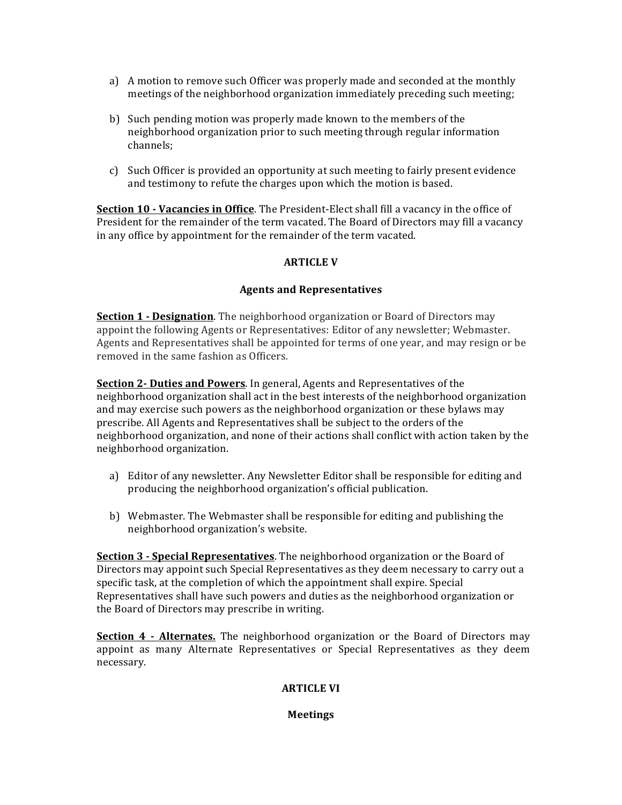- a) A motion to remove such Officer was properly made and seconded at the monthly meetings of the neighborhood organization immediately preceding such meeting;
- b) Such pending motion was properly made known to the members of the neighborhood organization prior to such meeting through regular information channels;
- c) Such Officer is provided an opportunity at such meeting to fairly present evidence and testimony to refute the charges upon which the motion is based.

**Section 10 - Vacancies in Office**. The President-Elect shall fill a vacancy in the office of President for the remainder of the term vacated. The Board of Directors may fill a vacancy in any office by appointment for the remainder of the term vacated.

## **ARTICLE V**

## **Agents and Representatives**

**Section 1 - Designation**. The neighborhood organization or Board of Directors may appoint the following Agents or Representatives: Editor of any newsletter; Webmaster. Agents and Representatives shall be appointed for terms of one year, and may resign or be removed in the same fashion as Officers.

**Section 2- Duties and Powers**. In general, Agents and Representatives of the neighborhood organization shall act in the best interests of the neighborhood organization and may exercise such powers as the neighborhood organization or these bylaws may prescribe. All Agents and Representatives shall be subject to the orders of the neighborhood organization, and none of their actions shall conflict with action taken by the neighborhood organization.

- a) Editor of any newsletter. Any Newsletter Editor shall be responsible for editing and producing the neighborhood organization's official publication.
- b) Webmaster. The Webmaster shall be responsible for editing and publishing the neighborhood organization's website.

**Section 3 - Special Representatives**. The neighborhood organization or the Board of Directors may appoint such Special Representatives as they deem necessary to carry out a specific task, at the completion of which the appointment shall expire. Special Representatives shall have such powers and duties as the neighborhood organization or the Board of Directors may prescribe in writing.

**Section 4 - Alternates.** The neighborhood organization or the Board of Directors may appoint as many Alternate Representatives or Special Representatives as they deem necessary.

## **ARTICLE VI**

## **Meetings**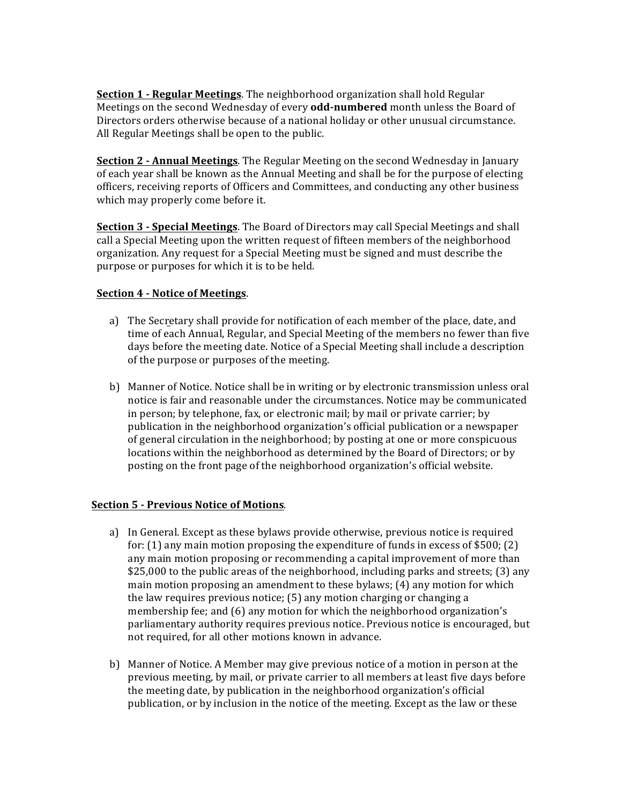**Section 1 - Regular Meetings**. The neighborhood organization shall hold Regular Meetings on the second Wednesday of every **odd-numbered** month unless the Board of Directors orders otherwise because of a national holiday or other unusual circumstance. All Regular Meetings shall be open to the public.

**Section 2 - Annual Meetings**. The Regular Meeting on the second Wednesday in January of each year shall be known as the Annual Meeting and shall be for the purpose of electing officers, receiving reports of Officers and Committees, and conducting any other business which may properly come before it.

**Section 3 - Special Meetings**. The Board of Directors may call Special Meetings and shall call a Special Meeting upon the written request of fifteen members of the neighborhood organization. Any request for a Special Meeting must be signed and must describe the purpose or purposes for which it is to be held.

## **<u>Section 4 - Notice of Meetings</u>**.

- a) The Secretary shall provide for notification of each member of the place, date, and time of each Annual, Regular, and Special Meeting of the members no fewer than five days before the meeting date. Notice of a Special Meeting shall include a description of the purpose or purposes of the meeting.
- b) Manner of Notice. Notice shall be in writing or by electronic transmission unless oral notice is fair and reasonable under the circumstances. Notice may be communicated in person; by telephone, fax, or electronic mail; by mail or private carrier; by publication in the neighborhood organization's official publication or a newspaper of general circulation in the neighborhood; by posting at one or more conspicuous locations within the neighborhood as determined by the Board of Directors; or by posting on the front page of the neighborhood organization's official website.

## **Section 5 - Previous Notice of Motions.**

- a) In General. Except as these bylaws provide otherwise, previous notice is required for:  $(1)$  any main motion proposing the expenditure of funds in excess of \$500;  $(2)$ any main motion proposing or recommending a capital improvement of more than  $$25,000$  to the public areas of the neighborhood, including parks and streets; (3) any main motion proposing an amendment to these bylaws;  $(4)$  any motion for which the law requires previous notice; (5) any motion charging or changing a membership fee; and (6) any motion for which the neighborhood organization's parliamentary authority requires previous notice. Previous notice is encouraged, but not required, for all other motions known in advance.
- b) Manner of Notice. A Member may give previous notice of a motion in person at the previous meeting, by mail, or private carrier to all members at least five days before the meeting date, by publication in the neighborhood organization's official publication, or by inclusion in the notice of the meeting. Except as the law or these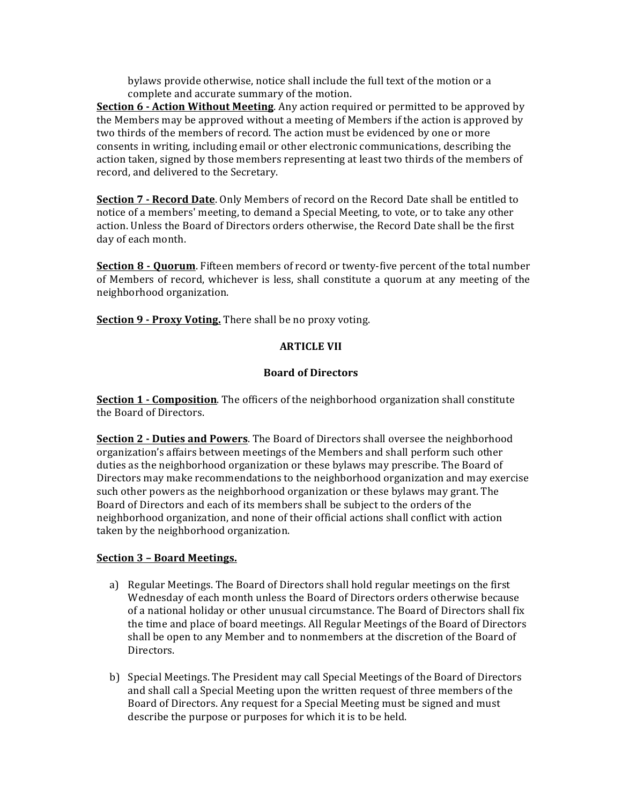bylaws provide otherwise, notice shall include the full text of the motion or a complete and accurate summary of the motion.

**Section 6 - Action Without Meeting**. Any action required or permitted to be approved by the Members may be approved without a meeting of Members if the action is approved by two thirds of the members of record. The action must be evidenced by one or more consents in writing, including email or other electronic communications, describing the action taken, signed by those members representing at least two thirds of the members of record, and delivered to the Secretary.

**Section 7 - Record Date**. Only Members of record on the Record Date shall be entitled to notice of a members' meeting, to demand a Special Meeting, to vote, or to take any other action. Unless the Board of Directors orders otherwise, the Record Date shall be the first day of each month.

**Section 8 - Quorum**. Fifteen members of record or twenty-five percent of the total number of Members of record, whichever is less, shall constitute a quorum at any meeting of the neighborhood organization.

**Section 9 - Proxy Voting.** There shall be no proxy voting.

## **ARTICLE VII**

# **Board of Directors**

**Section 1 - Composition**. The officers of the neighborhood organization shall constitute the Board of Directors.

**Section 2 - Duties and Powers**. The Board of Directors shall oversee the neighborhood organization's affairs between meetings of the Members and shall perform such other duties as the neighborhood organization or these bylaws may prescribe. The Board of Directors may make recommendations to the neighborhood organization and may exercise such other powers as the neighborhood organization or these bylaws may grant. The Board of Directors and each of its members shall be subject to the orders of the neighborhood organization, and none of their official actions shall conflict with action taken by the neighborhood organization.

## **Section 3 – Board Meetings.**

- a) Regular Meetings. The Board of Directors shall hold regular meetings on the first Wednesday of each month unless the Board of Directors orders otherwise because of a national holiday or other unusual circumstance. The Board of Directors shall fix the time and place of board meetings. All Regular Meetings of the Board of Directors shall be open to any Member and to nonmembers at the discretion of the Board of Directors.
- b) Special Meetings. The President may call Special Meetings of the Board of Directors and shall call a Special Meeting upon the written request of three members of the Board of Directors. Any request for a Special Meeting must be signed and must describe the purpose or purposes for which it is to be held.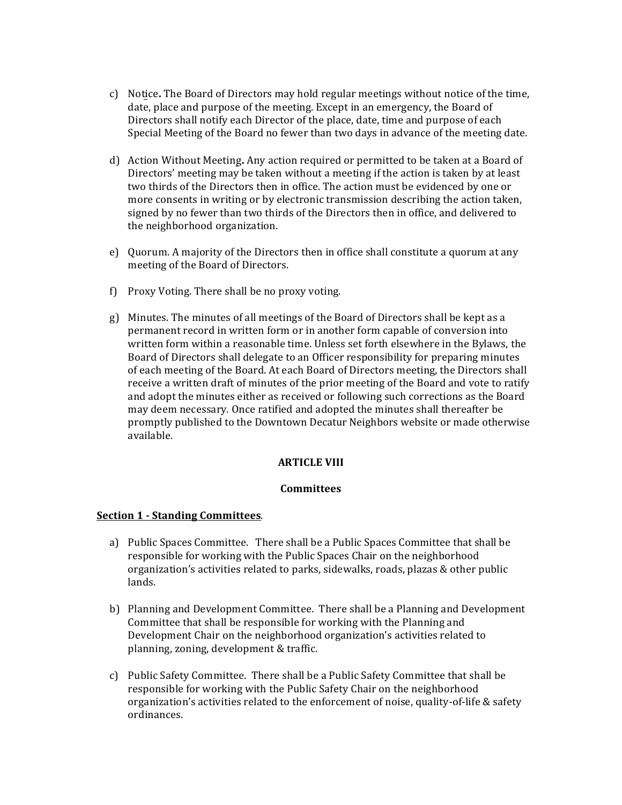- c) Notice. The Board of Directors may hold regular meetings without notice of the time, date, place and purpose of the meeting. Except in an emergency, the Board of Directors shall notify each Director of the place, date, time and purpose of each Special Meeting of the Board no fewer than two days in advance of the meeting date.
- d) Action Without Meeting. Any action required or permitted to be taken at a Board of Directors' meeting may be taken without a meeting if the action is taken by at least two thirds of the Directors then in office. The action must be evidenced by one or more consents in writing or by electronic transmission describing the action taken, signed by no fewer than two thirds of the Directors then in office, and delivered to the neighborhood organization.
- e) Quorum. A majority of the Directors then in office shall constitute a quorum at any meeting of the Board of Directors.
- f) Proxy Voting. There shall be no proxy voting.
- g) Minutes. The minutes of all meetings of the Board of Directors shall be kept as a permanent record in written form or in another form capable of conversion into written form within a reasonable time. Unless set forth elsewhere in the Bylaws, the Board of Directors shall delegate to an Officer responsibility for preparing minutes of each meeting of the Board. At each Board of Directors meeting, the Directors shall receive a written draft of minutes of the prior meeting of the Board and vote to ratify and adopt the minutes either as received or following such corrections as the Board may deem necessary. Once ratified and adopted the minutes shall thereafter be promptly published to the Downtown Decatur Neighbors website or made otherwise available.

## **ARTICLE VIII**

#### **Committees**

## **Section 1 - Standing Committees**.

- a) Public Spaces Committee. There shall be a Public Spaces Committee that shall be responsible for working with the Public Spaces Chair on the neighborhood organization's activities related to parks, sidewalks, roads, plazas & other public lands.
- b) Planning and Development Committee. There shall be a Planning and Development Committee that shall be responsible for working with the Planning and Development Chair on the neighborhood organization's activities related to planning, zoning, development & traffic.
- c) Public Safety Committee. There shall be a Public Safety Committee that shall be responsible for working with the Public Safety Chair on the neighborhood organization's activities related to the enforcement of noise, quality-of-life & safety ordinances.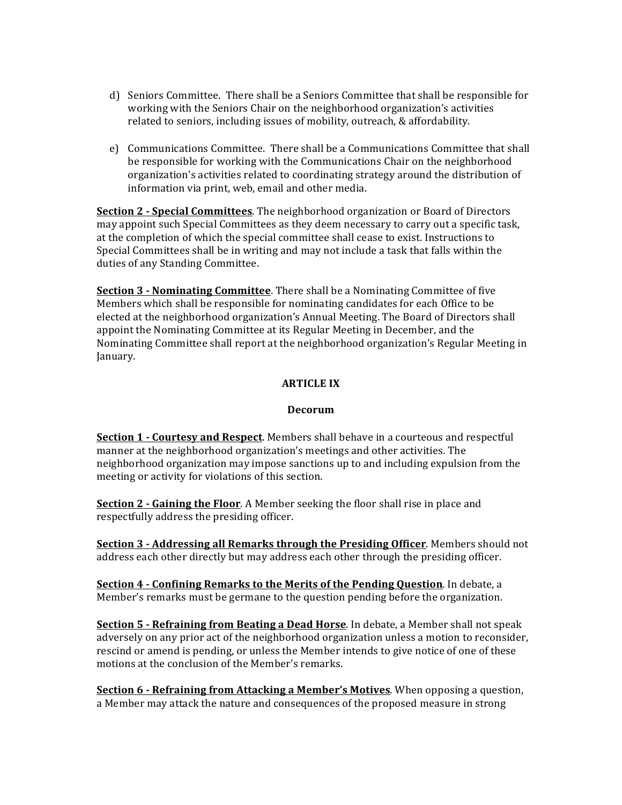- d) Seniors Committee. There shall be a Seniors Committee that shall be responsible for working with the Seniors Chair on the neighborhood organization's activities related to seniors, including issues of mobility, outreach, & affordability.
- e) Communications Committee. There shall be a Communications Committee that shall be responsible for working with the Communications Chair on the neighborhood organization's activities related to coordinating strategy around the distribution of information via print, web, email and other media.

**Section 2 - Special Committees**. The neighborhood organization or Board of Directors may appoint such Special Committees as they deem necessary to carry out a specific task, at the completion of which the special committee shall cease to exist. Instructions to Special Committees shall be in writing and may not include a task that falls within the duties of any Standing Committee.

**Section 3 - Nominating Committee**. There shall be a Nominating Committee of five Members which shall be responsible for nominating candidates for each Office to be elected at the neighborhood organization's Annual Meeting. The Board of Directors shall appoint the Nominating Committee at its Regular Meeting in December, and the Nominating Committee shall report at the neighborhood organization's Regular Meeting in January.

# **ARTICLE IX**

## **Decorum**

**Section 1 - Courtesy and Respect**. Members shall behave in a courteous and respectful manner at the neighborhood organization's meetings and other activities. The neighborhood organization may impose sanctions up to and including expulsion from the meeting or activity for violations of this section.

**Section 2 - Gaining the Floor.** A Member seeking the floor shall rise in place and respectfully address the presiding officer.

**Section 3 - Addressing all Remarks through the Presiding Officer**. Members should not address each other directly but may address each other through the presiding officer.

**Section 4 - Confining Remarks to the Merits of the Pending Question.** In debate, a Member's remarks must be germane to the question pending before the organization.

**Section 5 - Refraining from Beating a Dead Horse**. In debate, a Member shall not speak adversely on any prior act of the neighborhood organization unless a motion to reconsider, rescind or amend is pending, or unless the Member intends to give notice of one of these motions at the conclusion of the Member's remarks.

**Section 6 - Refraining from Attacking a Member's Motives**. When opposing a question, a Member may attack the nature and consequences of the proposed measure in strong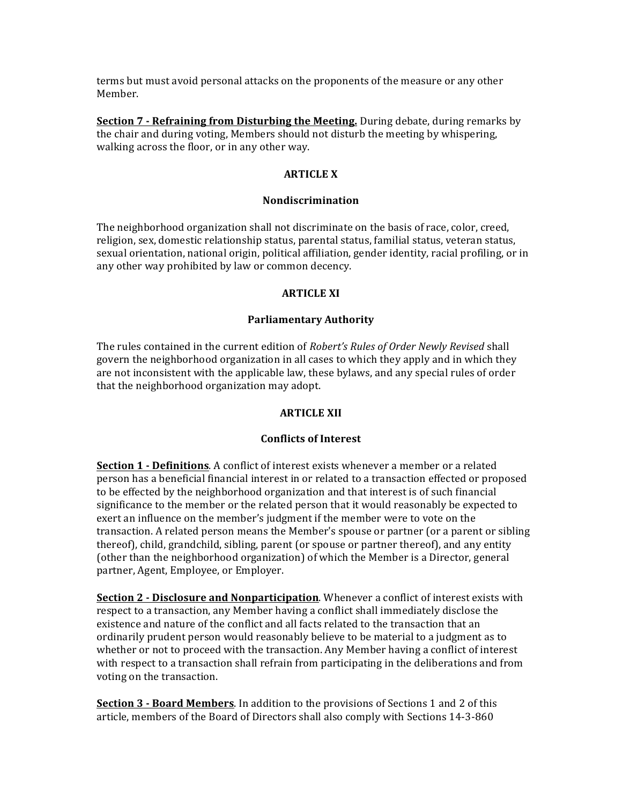terms but must avoid personal attacks on the proponents of the measure or any other Member.

**Section 7 - Refraining from Disturbing the Meeting.** During debate, during remarks by the chair and during voting, Members should not disturb the meeting by whispering, walking across the floor, or in any other way.

## **ARTICLE X**

### **Nondiscrimination**

The neighborhood organization shall not discriminate on the basis of race, color, creed, religion, sex, domestic relationship status, parental status, familial status, veteran status, sexual orientation, national origin, political affiliation, gender identity, racial profiling, or in any other way prohibited by law or common decency.

### **ARTICLE XI**

#### **Parliamentary Authority**

The rules contained in the current edition of *Robert's Rules of Order Newly Revised* shall govern the neighborhood organization in all cases to which they apply and in which they are not inconsistent with the applicable law, these bylaws, and any special rules of order that the neighborhood organization may adopt.

### **ARTICLE XII**

### **Conflicts of Interest**

**Section 1 - Definitions**. A conflict of interest exists whenever a member or a related person has a beneficial financial interest in or related to a transaction effected or proposed to be effected by the neighborhood organization and that interest is of such financial significance to the member or the related person that it would reasonably be expected to exert an influence on the member's judgment if the member were to vote on the transaction. A related person means the Member's spouse or partner (or a parent or sibling thereof), child, grandchild, sibling, parent (or spouse or partner thereof), and any entity (other than the neighborhood organization) of which the Member is a Director, general partner, Agent, Employee, or Employer.

**Section 2 - Disclosure and Nonparticipation**. Whenever a conflict of interest exists with respect to a transaction, any Member having a conflict shall immediately disclose the existence and nature of the conflict and all facts related to the transaction that an ordinarily prudent person would reasonably believe to be material to a judgment as to whether or not to proceed with the transaction. Any Member having a conflict of interest with respect to a transaction shall refrain from participating in the deliberations and from voting on the transaction.

**Section 3 - Board Members**. In addition to the provisions of Sections 1 and 2 of this article, members of the Board of Directors shall also comply with Sections 14-3-860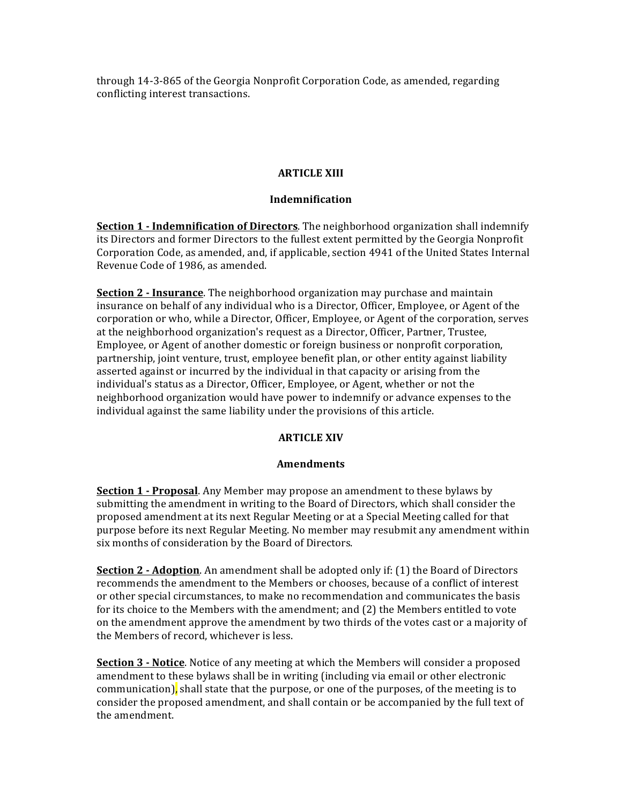through 14-3-865 of the Georgia Nonprofit Corporation Code, as amended, regarding conflicting interest transactions.

## **ARTICLE** XIII

## **Indemnification**

**Section 1 - Indemnification of Directors**. The neighborhood organization shall indemnify its Directors and former Directors to the fullest extent permitted by the Georgia Nonprofit Corporation Code, as amended, and, if applicable, section 4941 of the United States Internal Revenue Code of 1986, as amended.

**Section 2 - Insurance**. The neighborhood organization may purchase and maintain insurance on behalf of any individual who is a Director, Officer, Employee, or Agent of the corporation or who, while a Director, Officer, Employee, or Agent of the corporation, serves at the neighborhood organization's request as a Director, Officer, Partner, Trustee, Employee, or Agent of another domestic or foreign business or nonprofit corporation, partnership, joint venture, trust, employee benefit plan, or other entity against liability asserted against or incurred by the individual in that capacity or arising from the individual's status as a Director, Officer, Employee, or Agent, whether or not the neighborhood organization would have power to indemnify or advance expenses to the individual against the same liability under the provisions of this article.

## **ARTICLE XIV**

### **Amendments**

**Section 1 - Proposal**. Any Member may propose an amendment to these bylaws by submitting the amendment in writing to the Board of Directors, which shall consider the proposed amendment at its next Regular Meeting or at a Special Meeting called for that purpose before its next Regular Meeting. No member may resubmit any amendment within six months of consideration by the Board of Directors.

**Section 2 - Adoption**. An amendment shall be adopted only if: (1) the Board of Directors recommends the amendment to the Members or chooses, because of a conflict of interest or other special circumstances, to make no recommendation and communicates the basis for its choice to the Members with the amendment; and (2) the Members entitled to vote on the amendment approve the amendment by two thirds of the votes cast or a majority of the Members of record, whichever is less.

**Section 3 - Notice**. Notice of any meeting at which the Members will consider a proposed amendment to these bylaws shall be in writing (including via email or other electronic communication), shall state that the purpose, or one of the purposes, of the meeting is to consider the proposed amendment, and shall contain or be accompanied by the full text of the amendment.